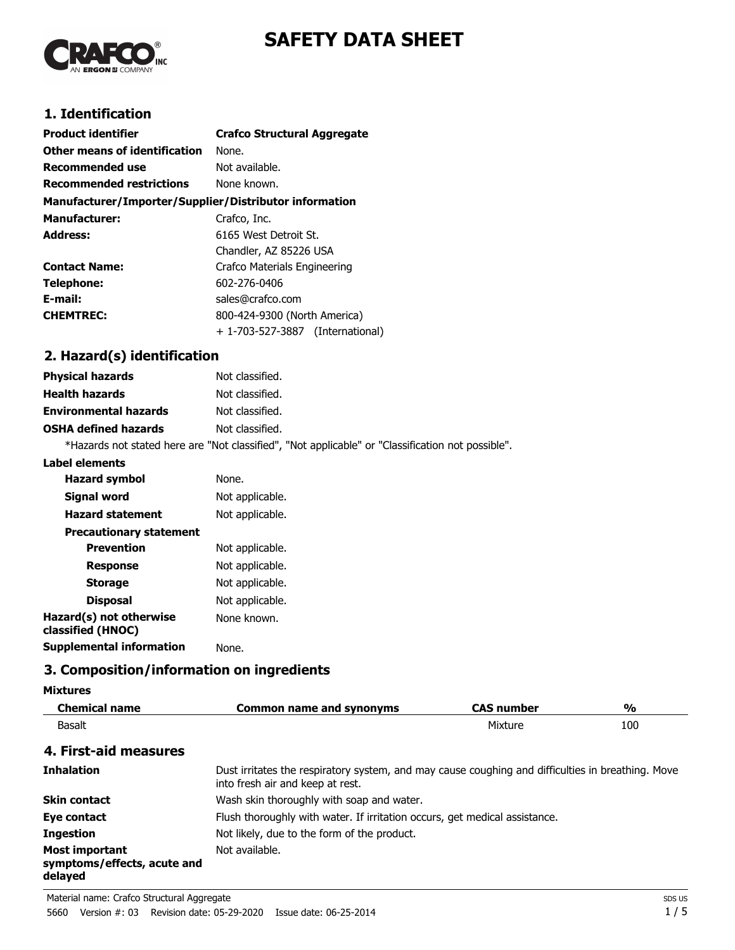

# **SAFETY DATA SHEET**

# **1. Identification**

| <b>Product identifier</b>                              | <b>Crafco Structural Aggregate</b> |
|--------------------------------------------------------|------------------------------------|
| Other means of identification                          | None.                              |
| <b>Recommended use</b>                                 | Not available.                     |
| <b>Recommended restrictions</b>                        | None known.                        |
| Manufacturer/Importer/Supplier/Distributor information |                                    |
| <b>Manufacturer:</b>                                   | Crafco, Inc.                       |
| <b>Address:</b>                                        | 6165 West Detroit St.              |
|                                                        | Chandler, AZ 85226 USA             |
| <b>Contact Name:</b>                                   | Crafco Materials Engineering       |
| Telephone:                                             | 602-276-0406                       |
| E-mail:                                                | sales@crafco.com                   |
| <b>CHEMTREC:</b>                                       | 800-424-9300 (North America)       |
|                                                        | + 1-703-527-3887 (International)   |

# **2. Hazard(s) identification**

| <b>Physical hazards</b>      | Not classified.                                                                                   |
|------------------------------|---------------------------------------------------------------------------------------------------|
| <b>Health hazards</b>        | Not classified.                                                                                   |
| <b>Environmental hazards</b> | Not classified.                                                                                   |
| <b>OSHA defined hazards</b>  | Not classified.                                                                                   |
|                              | *Hazards not stated here are "Not classified", "Not applicable" or "Classification not possible". |

#### **Label elements**

| <b>Hazard symbol</b>                         | None.           |
|----------------------------------------------|-----------------|
| Signal word                                  | Not applicable. |
| <b>Hazard statement</b>                      | Not applicable. |
| <b>Precautionary statement</b>               |                 |
| <b>Prevention</b>                            | Not applicable. |
| <b>Response</b>                              | Not applicable. |
| <b>Storage</b>                               | Not applicable. |
| <b>Disposal</b>                              | Not applicable. |
| Hazard(s) not otherwise<br>classified (HNOC) | None known.     |
| Supplemental information                     | None.           |

# **3. Composition/information on ingredients**

| <b>Mixtures</b>                                                 |                                                                                                                                       |                   |     |
|-----------------------------------------------------------------|---------------------------------------------------------------------------------------------------------------------------------------|-------------------|-----|
| <b>Chemical name</b>                                            | <b>Common name and synonyms</b>                                                                                                       | <b>CAS number</b> | %   |
| Basalt                                                          |                                                                                                                                       | Mixture           | 100 |
| 4. First-aid measures                                           |                                                                                                                                       |                   |     |
| <b>Inhalation</b>                                               | Dust irritates the respiratory system, and may cause coughing and difficulties in breathing. Move<br>into fresh air and keep at rest. |                   |     |
| <b>Skin contact</b>                                             | Wash skin thoroughly with soap and water.                                                                                             |                   |     |
| Eye contact                                                     | Flush thoroughly with water. If irritation occurs, get medical assistance.                                                            |                   |     |
| <b>Ingestion</b>                                                | Not likely, due to the form of the product.                                                                                           |                   |     |
| <b>Most important</b><br>symptoms/effects, acute and<br>delayed | Not available.                                                                                                                        |                   |     |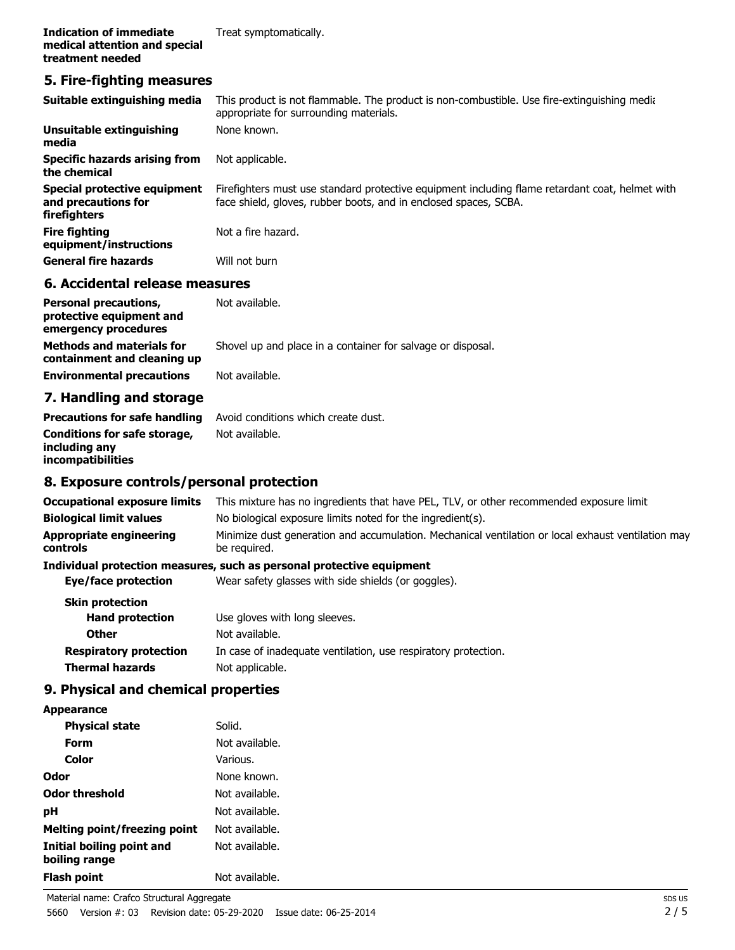### **5. Fire-fighting measures**

| Suitable extinguishing media<br>Unsuitable extinguishing            | This product is not flammable. The product is non-combustible. Use fire-extinguishing media<br>appropriate for surrounding materials.<br>None known.                |
|---------------------------------------------------------------------|---------------------------------------------------------------------------------------------------------------------------------------------------------------------|
| media                                                               |                                                                                                                                                                     |
| Specific hazards arising from<br>the chemical                       | Not applicable.                                                                                                                                                     |
| Special protective equipment<br>and precautions for<br>firefighters | Firefighters must use standard protective equipment including flame retardant coat, helmet with<br>face shield, gloves, rubber boots, and in enclosed spaces, SCBA. |
| <b>Fire fighting</b><br>equipment/instructions                      | Not a fire hazard.                                                                                                                                                  |
| <b>General fire hazards</b>                                         | Will not burn                                                                                                                                                       |
| C. Assidentel velopes messeures                                     |                                                                                                                                                                     |

#### **6. Accidental release measures**

| <b>Personal precautions,</b><br>protective equipment and<br>emergency procedures | Not available.                                              |
|----------------------------------------------------------------------------------|-------------------------------------------------------------|
| <b>Methods and materials for</b><br>containment and cleaning up                  | Shovel up and place in a container for salvage or disposal. |
| <b>Environmental precautions</b>                                                 | Not available.                                              |

# **7. Handling and storage**

|                                           | <b>Precautions for safe handling</b> Avoid conditions which create dust. |
|-------------------------------------------|--------------------------------------------------------------------------|
| <b>Conditions for safe storage,</b>       | Not available.                                                           |
| including any<br><i>incompatibilities</i> |                                                                          |

# **8. Exposure controls/personal protection**

| This mixture has no ingredients that have PEL, TLV, or other recommended exposure limit                            |  |
|--------------------------------------------------------------------------------------------------------------------|--|
| No biological exposure limits noted for the ingredient(s).                                                         |  |
| Minimize dust generation and accumulation. Mechanical ventilation or local exhaust ventilation may<br>be required. |  |
| Individual protection measures, such as personal protective equipment                                              |  |
| Wear safety glasses with side shields (or goggles).                                                                |  |
|                                                                                                                    |  |
| Use gloves with long sleeves.                                                                                      |  |
| Not available.                                                                                                     |  |
| In case of inadequate ventilation, use respiratory protection.                                                     |  |
| Not applicable.                                                                                                    |  |
|                                                                                                                    |  |

# **9. Physical and chemical properties**

**Appearance**

| <b>Physical state</b>                      | Solid.         |
|--------------------------------------------|----------------|
| Form                                       | Not available. |
| Color                                      | Various.       |
| Odor                                       | None known.    |
| Odor threshold                             | Not available. |
| рH                                         | Not available. |
| Melting point/freezing point               | Not available. |
| Initial boiling point and<br>boiling range | Not available. |
| Flash point                                | Not available. |
|                                            |                |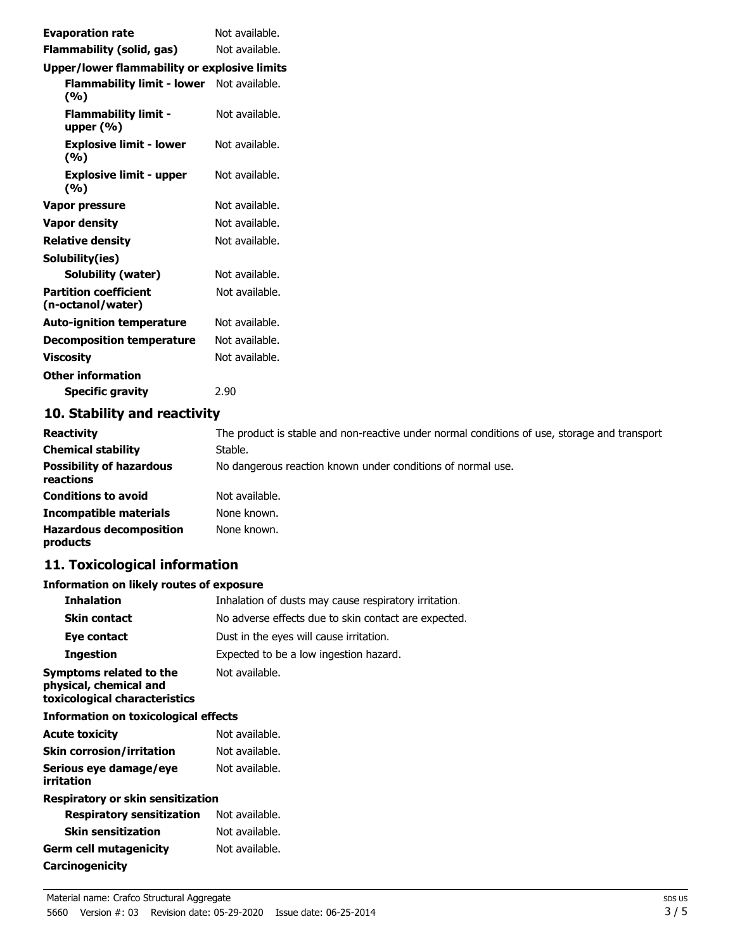| <b>Evaporation rate</b>                           | Not available. |
|---------------------------------------------------|----------------|
| Flammability (solid, gas)                         | Not available. |
| Upper/lower flammability or explosive limits      |                |
| Flammability limit - lower<br>(%)                 | Not available. |
| <b>Flammability limit -</b><br>upper $(\% )$      | Not available. |
| <b>Explosive limit - lower</b><br>(%)             | Not available. |
| <b>Explosive limit - upper</b><br>(%)             | Not available. |
| Vapor pressure                                    | Not available. |
| <b>Vapor density</b>                              | Not available. |
| <b>Relative density</b>                           | Not available. |
| Solubility(ies)                                   |                |
| <b>Solubility (water)</b>                         | Not available. |
| <b>Partition coefficient</b><br>(n-octanol/water) | Not available. |
| <b>Auto-ignition temperature</b>                  | Not available. |
| <b>Decomposition temperature</b>                  | Not available. |
| <b>Viscosity</b>                                  | Not available. |
| <b>Other information</b>                          |                |
| <b>Specific gravity</b>                           | 2.90           |

# **10. Stability and reactivity**

| <b>Reactivity</b>                            | The product is stable and non-reactive under normal conditions of use, storage and transport |
|----------------------------------------------|----------------------------------------------------------------------------------------------|
| <b>Chemical stability</b>                    | Stable.                                                                                      |
| <b>Possibility of hazardous</b><br>reactions | No dangerous reaction known under conditions of normal use.                                  |
| <b>Conditions to avoid</b>                   | Not available.                                                                               |
| <b>Incompatible materials</b>                | None known.                                                                                  |
| <b>Hazardous decomposition</b><br>products   | None known.                                                                                  |

# **11. Toxicological information**

# **Information on likely routes of exposure**

| <b>Inhalation</b>                                                                  | Inhalation of dusts may cause respiratory irritation. |
|------------------------------------------------------------------------------------|-------------------------------------------------------|
| <b>Skin contact</b>                                                                | No adverse effects due to skin contact are expected.  |
| Eye contact                                                                        | Dust in the eyes will cause irritation.               |
| <b>Ingestion</b>                                                                   | Expected to be a low ingestion hazard.                |
| Symptoms related to the<br>physical, chemical and<br>toxicological characteristics | Not available.                                        |
| <b>Information on toxicological effects</b>                                        |                                                       |
| <b>Acute toxicity</b>                                                              | Not available.                                        |
| <b>Skin corrosion/irritation</b>                                                   | Not available.                                        |
| Serious eye damage/eye<br>irritation                                               | Not available.                                        |
| Respiratory or skin sensitization                                                  |                                                       |
| <b>Respiratory sensitization</b>                                                   | Not available.                                        |
| <b>Skin sensitization</b>                                                          | Not available.                                        |
| <b>Germ cell mutagenicity</b>                                                      | Not available.                                        |
| <b>Carcinogenicity</b>                                                             |                                                       |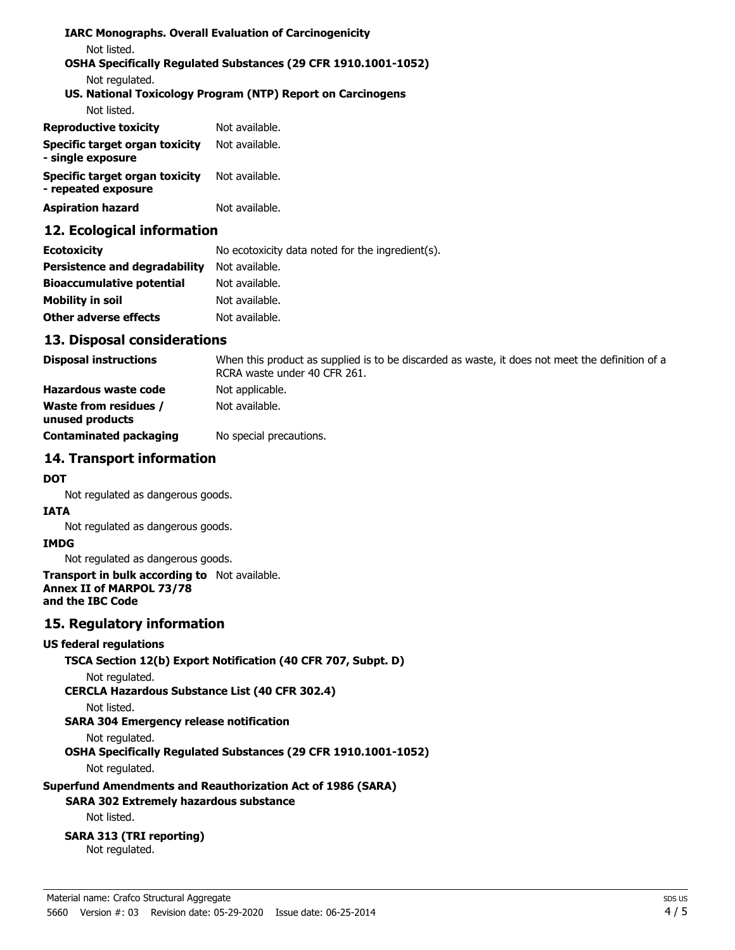### **IARC Monographs. Overall Evaluation of Carcinogenicity** Not listed. **OSHA Specifically Regulated Substances (29 CFR 1910.1001-1052)** Not regulated. **US. National Toxicology Program (NTP) Report on Carcinogens** Not listed.

| <b>Reproductive toxicity</b>                          | Not available. |
|-------------------------------------------------------|----------------|
| Specific target organ toxicity<br>- single exposure   | Not available. |
| Specific target organ toxicity<br>- repeated exposure | Not available. |
| <b>Aspiration hazard</b>                              | Not available. |

## **12. Ecological information**

| <b>Ecotoxicity</b>               | No ecotoxicity data noted for the ingredient(s). |
|----------------------------------|--------------------------------------------------|
| Persistence and degradability    | Not available.                                   |
| <b>Bioaccumulative potential</b> | Not available.                                   |
| Mobility in soil                 | Not available.                                   |
| <b>Other adverse effects</b>     | Not available.                                   |

### **13. Disposal considerations**

| <b>Disposal instructions</b>                    | When this product as supplied is to be discarded as waste, it does not meet the definition of a<br>RCRA waste under 40 CFR 261. |
|-------------------------------------------------|---------------------------------------------------------------------------------------------------------------------------------|
| Hazardous waste code                            | Not applicable.                                                                                                                 |
| <b>Waste from residues /</b><br>unused products | Not available.                                                                                                                  |
| <b>Contaminated packaging</b>                   | No special precautions.                                                                                                         |

# **14. Transport information**

#### **DOT**

Not regulated as dangerous goods.

### **IATA**

Not regulated as dangerous goods.

### **IMDG**

Not regulated as dangerous goods.

#### **Transport in bulk according to** Not available. **Annex II of MARPOL 73/78 and the IBC Code**

### **15. Regulatory information**

#### **US federal regulations**

```
TSCA Section 12(b) Export Notification (40 CFR 707, Subpt. D)
```

```
Not regulated.
```
**CERCLA Hazardous Substance List (40 CFR 302.4)**

### Not listed.

# **SARA 304 Emergency release notification**

### Not regulated.

**OSHA Specifically Regulated Substances (29 CFR 1910.1001-1052)**

Not regulated.

# **Superfund Amendments and Reauthorization Act of 1986 (SARA)**

# **SARA 302 Extremely hazardous substance**

Not listed.

# **SARA 313 (TRI reporting)**

Not regulated.